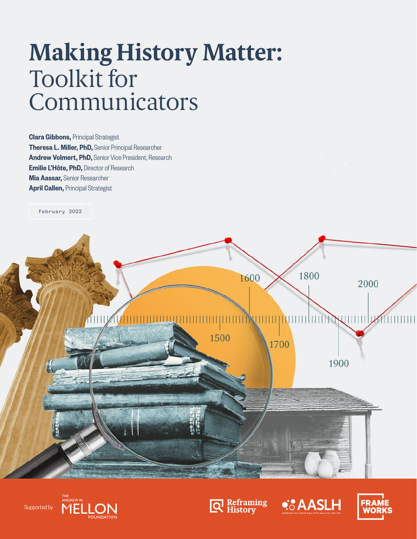# **Making History Matter:**  Toolkit for Communicators

**Clara Gibbons, Principal Strategist** Theresa L. Miller, PhD, Senior Principal Researcher Andrew Volmert, PhD, Senior Vice President, Research Emilie L'Hôte, PhD, Director of Research Mia Aassar, Senior Researcher April Callen, Principal Strategist









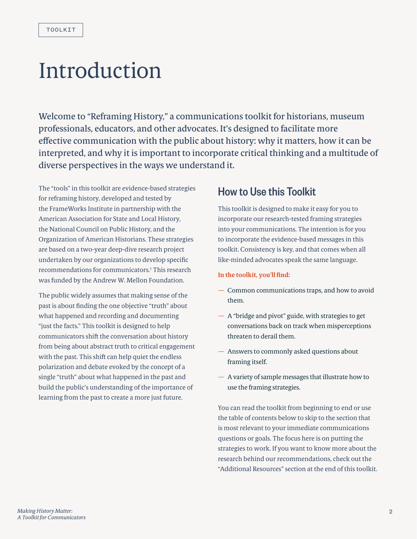# Introduction

Welcome to "Reframing History," a communications toolkit for historians, museum professionals, educators, and other advocates. It's designed to facilitate more effective communication with the public about history: why it matters, how it can be interpreted, and why it is important to incorporate critical thinking and a multitude of diverse perspectives in the ways we understand it.

The "tools" in this toolkit are evidence-based strategies for reframing history, developed and tested by the FrameWorks Institute in partnership with the American Association for State and Local History, the National Council on Public History, and the Organization of American Historians. These strategies are based on a two-year deep-dive research project undertaken by our organizations to develop specific recommendations for communicators.<sup>1</sup> This research was funded by the Andrew W. Mellon Foundation.

The public widely assumes that making sense of the past is about finding the one objective "truth" about what happened and recording and documenting "just the facts." This toolkit is designed to help communicators shift the conversation about history from being about abstract truth to critical engagement with the past. This shift can help quiet the endless polarization and debate evoked by the concept of a single "truth" about what happened in the past and build the public's understanding of the importance of learning from the past to create a more just future.

## How to Use this Toolkit

This toolkit is designed to make it easy for you to incorporate our research-tested framing strategies into your communications. The intention is for you to incorporate the evidence-based messages in this toolkit. Consistency is key, and that comes when all like-minded advocates speak the same language.

#### **In the toolkit, you'll find:**

- Common communications traps, and how to avoid them.
- A "bridge and pivot" guide, with strategies to get conversations back on track when misperceptions threaten to derail them.
- Answers to commonly asked questions about framing itself.
- A variety of sample messages that illustrate how to use the framing strategies.

You can read the toolkit from beginning to end or use the table of contents below to skip to the section that is most relevant to your immediate communications questions or goals. The focus here is on putting the strategies to work. If you want to know more about the research behind our recommendations, check out the "Additional Resources" section at the end of this toolkit.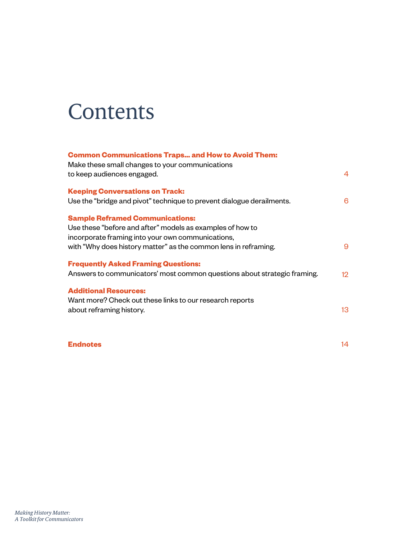# **Contents**

| <b>Common Communications Traps and How to Avoid Them:</b><br>Make these small changes to your communications |                |
|--------------------------------------------------------------------------------------------------------------|----------------|
| to keep audiences engaged.                                                                                   | $\overline{4}$ |
| <b>Keeping Conversations on Track:</b>                                                                       |                |
| Use the "bridge and pivot" technique to prevent dialogue derailments.                                        | 6              |
| <b>Sample Reframed Communications:</b>                                                                       |                |
| Use these "before and after" models as examples of how to                                                    |                |
| incorporate framing into your own communications,                                                            |                |
| with "Why does history matter" as the common lens in reframing.                                              | 9              |
| <b>Frequently Asked Framing Questions:</b>                                                                   |                |
| Answers to communicators' most common questions about strategic framing.                                     | 12             |
| <b>Additional Resources:</b>                                                                                 |                |
| Want more? Check out these links to our research reports                                                     |                |
| about reframing history.                                                                                     | 13             |
|                                                                                                              |                |

**Endnotes** 14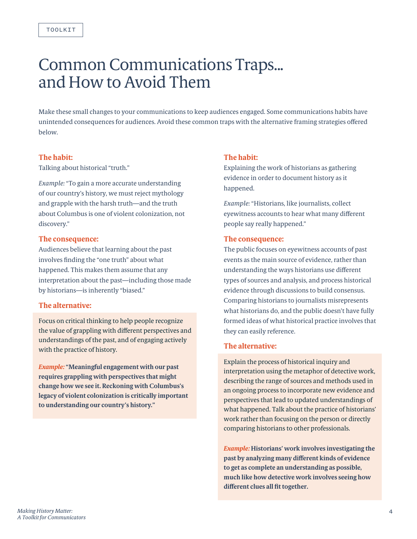## Common Communications Traps... and How to Avoid Them

Make these small changes to your communications to keep audiences engaged. Some communications habits have unintended consequences for audiences. Avoid these common traps with the alternative framing strategies offered below.

## **The habit:**

Talking about historical "truth."

*Example:* "To gain a more accurate understanding of our country's history, we must reject mythology and grapple with the harsh truth—and the truth about Columbus is one of violent colonization, not discovery."

#### **The consequence:**

Audiences believe that learning about the past involves finding the "one truth" about what happened. This makes them assume that any interpretation about the past—including those made by historians—is inherently "biased."

## **The alternative:**

Focus on critical thinking to help people recognize the value of grappling with different perspectives and understandings of the past, and of engaging actively with the practice of history.

*Example:* **"Meaningful engagement with our past requires grappling with perspectives that might change how we see it. Reckoning with Columbus's legacy of violent colonization is critically important to understanding our country's history."**

## **The habit:**

Explaining the work of historians as gathering evidence in order to document history as it happened.

*Example:* "Historians, like journalists, collect eyewitness accounts to hear what many different people say really happened."

#### **The consequence:**

The public focuses on eyewitness accounts of past events as the main source of evidence, rather than understanding the ways historians use different types of sources and analysis, and process historical evidence through discussions to build consensus. Comparing historians to journalists misrepresents what historians do, and the public doesn't have fully formed ideas of what historical practice involves that they can easily reference.

## **The alternative:**

Explain the process of historical inquiry and interpretation using the metaphor of detective work, describing the range of sources and methods used in an ongoing process to incorporate new evidence and perspectives that lead to updated understandings of what happened. Talk about the practice of historians' work rather than focusing on the person or directly comparing historians to other professionals.

*Example:* **Historians' work involves investigating the past by analyzing many different kinds of evidence to get as complete an understanding as possible, much like how detective work involves seeing how different clues all fit together.**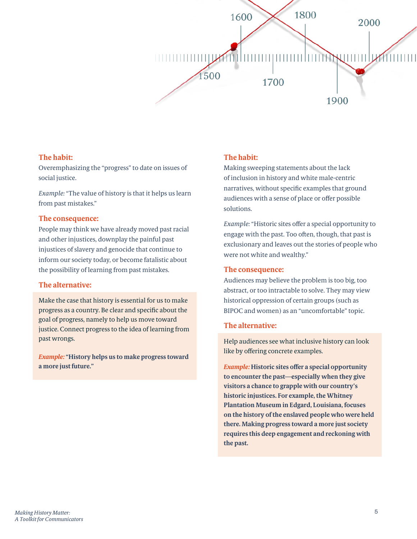

## **The habit:**

Overemphasizing the "progress" to date on issues of social justice.

*Example:* "The value of history is that it helps us learn from past mistakes."

## **The consequence:**

People may think we have already moved past racial and other injustices, downplay the painful past injustices of slavery and genocide that continue to inform our society today, or become fatalistic about the possibility of learning from past mistakes.

## **The alternative:**

Make the case that history is essential for us to make progress as a country. Be clear and specific about the goal of progress, namely to help us move toward justice. Connect progress to the idea of learning from past wrongs.

*Example:* **"History helps us to make progress toward a more just future."**

## **The habit:**

Making sweeping statements about the lack of inclusion in history and white male-centric narratives, without specific examples that ground audiences with a sense of place or offer possible solutions.

*Example:* "Historic sites offer a special opportunity to engage with the past. Too often, though, that past is exclusionary and leaves out the stories of people who were not white and wealthy."

## **The consequence:**

Audiences may believe the problem is too big, too abstract, or too intractable to solve. They may view historical oppression of certain groups (such as BIPOC and women) as an "uncomfortable" topic.

## **The alternative:**

Help audiences see what inclusive history can look like by offering concrete examples.

*Example:* **Historic sites offer a special opportunity to encounter the past—especially when they give visitors a chance to grapple with our country's historic injustices. For example, the Whitney Plantation Museum in Edgard, Louisiana, focuses on the history of the enslaved people who were held there. Making progress toward a more just society requires this deep engagement and reckoning with the past.**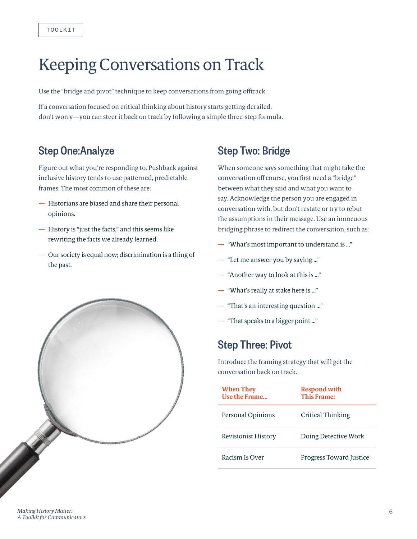## Keeping Conversations on Track

Use the "bridge and pivot" technique to keep conversations from going offtrack.

If a conversation focused on critical thinking about history starts getting derailed, don't worry—you can steer it back on track by following a simple three-step formula.

## Step One:Analyze

Figure out what you're responding to. Pushback against inclusive history tends to use patterned, predictable frames. The most common of these are:

- Historians are biased and share their personal opinions.
- History is "just the facts," and this seems like rewriting the facts we already learned.
- Our society is equal now; discrimination is a thing of the past.



## Step Two: Bridge

When someone says something that might take the conversation off course, you first need a "bridge" between what they said and what you want to say. Acknowledge the person you are engaged in conversation with, but don't restate or try to rebut the assumptions in their message. Use an innocuous bridging phrase to redirect the conversation, such as:

- "What's most important to understand is …"
- "Let me answer you by saying …"
- "Another way to look at this is …"
- "What's really at stake here is …"
- "That's an interesting question …"
- "That speaks to a bigger point …"

## Step Three: Pivot

Introduce the framing strategy that will get the conversation back on track.

| <b>When They</b><br>Use the Frame | <b>Respond with</b><br><b>This Frame:</b> |
|-----------------------------------|-------------------------------------------|
| Personal Opinions                 | Critical Thinking                         |
| <b>Revisionist History</b>        | Doing Detective Work                      |
| Racism Is Over                    | Progress Toward Justice                   |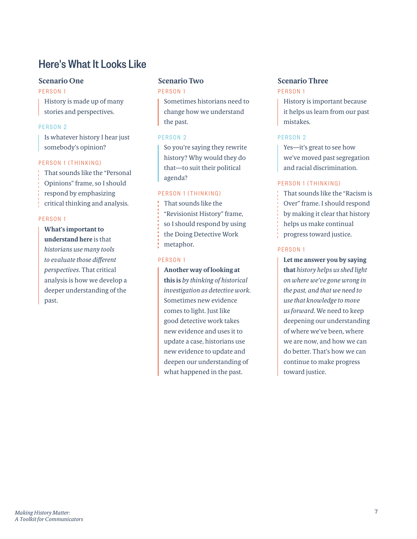## Here's What It Looks Like

## **Scenario One**

## PFRSON 1

History is made up of many stories and perspectives.

## PERSON<sub>2</sub>

Is whatever history I hear just somebody's opinion?

## PERSON 1 (THINKING)

That sounds like the "Personal Opinions" frame, so I should respond by emphasizing critical thinking and analysis.

#### PFRSON 1

**What's important to understand here** is that *historians use many tools to evaluate those different perspectives*. That critical analysis is how we develop a deeper understanding of the past.

## **Scenario Two** PFRSON 1

Sometimes historians need to change how we understand the past.

## PFRSON 2

So you're saying they rewrite history? Why would they do that—to suit their political agenda?

#### PERSON 1 (THINKING)

That sounds like the "Revisionist History" frame, so I should respond by using the Doing Detective Work metaphor.

#### PERSON 1

**Another way of looking at this is** *by thinking of historical investigation as detective work.* Sometimes new evidence comes to light. Just like good detective work takes new evidence and uses it to update a case, historians use new evidence to update and deepen our understanding of what happened in the past.

## **Scenario Three**

## PFRSON 1

History is important because it helps us learn from our past mistakes.

### PFRSON 2

Yes—it's great to see how we've moved past segregation and racial discrimination.

## PERSON 1 (THINKING)

That sounds like the "Racism is Over" frame. I should respond by making it clear that history helps us make continual progress toward justice.

## PERSON 1

**Let me answer you by saying that** *history helps us shed light on where we've gone wrong in the past, and that we need to use that knowledge to move us forward*. We need to keep deepening our understanding of where we've been, where we are now, and how we can do better. That's how we can continue to make progress toward justice.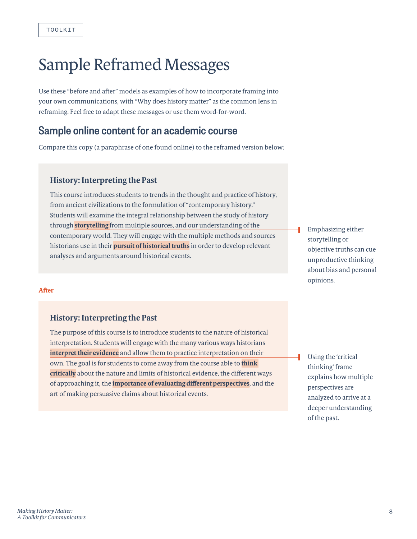## Sample Reframed Messages

Use these "before and after" models as examples of how to incorporate framing into your own communications, with "Why does history matter" as the common lens in reframing. Feel free to adapt these messages or use them word-for-word.

## Sample online content for an academic course

Compare this copy (a paraphrase of one found online) to the reframed version below:

## **History: Interpreting the Past**

This course introduces students to trends in the thought and practice of history, from ancient civilizations to the formulation of "contemporary history." Students will examine the integral relationship between the study of history through **storytelling** from multiple sources, and our understanding of the contemporary world. They will engage with the multiple methods and sources historians use in their **pursuit of historical truths** in order to develop relevant analyses and arguments around historical events.

Emphasizing either storytelling or objective truths can cue unproductive thinking about bias and personal opinions.

#### **After**

## **History: Interpreting the Past**

The purpose of this course is to introduce students to the nature of historical interpretation. Students will engage with the many various ways historians **interpret their evidence** and allow them to practice interpretation on their own. The goal is for students to come away from the course able to **think critically** about the nature and limits of historical evidence, the different ways of approaching it, the **importance of evaluating different perspectives**, and the art of making persuasive claims about historical events.

Using the 'critical thinking' frame explains how multiple perspectives are analyzed to arrive at a deeper understanding of the past.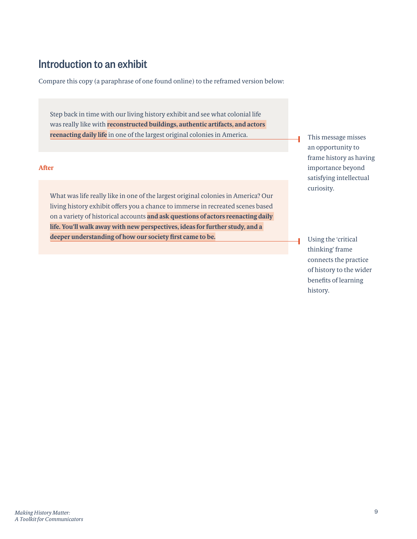## Introduction to an exhibit

Compare this copy (a paraphrase of one found online) to the reframed version below:

Step back in time with our living history exhibit and see what colonial life was really like with **reconstructed buildings, authentic artifacts, and actors reenacting daily life** in one of the largest original colonies in America.

#### **After**

What was life really like in one of the largest original colonies in America? Our living history exhibit offers you a chance to immerse in recreated scenes based on a variety of historical accounts **and ask questions of actors reenacting daily life. You'll walk away with new perspectives, ideas for further study, and a deeper understanding of how our society first came to be.** Using the 'critical Using the 'critical

This message misses an opportunity to frame history as having importance beyond satisfying intellectual curiosity.

thinking' frame connects the practice of history to the wider benefits of learning history.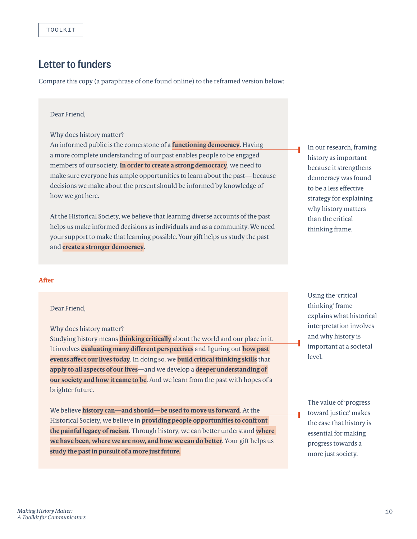## Letter to funders

Compare this copy (a paraphrase of one found online) to the reframed version below:

#### Dear Friend,

Why does history matter?

An informed public is the cornerstone of a **functioning democracy**. Having a more complete understanding of our past enables people to be engaged members of our society. **In order to create a strong democracy**, we need to make sure everyone has ample opportunities to learn about the past— because decisions we make about the present should be informed by knowledge of how we got here.

At the Historical Society, we believe that learning diverse accounts of the past helps us make informed decisions as individuals and as a community. We need your support to make that learning possible. Your gift helps us study the past and **create a stronger democracy**.

In our research, framing history as important because it strengthens democracy was found to be a less effective strategy for explaining why history matters than the critical thinking frame.

#### **After**

#### Dear Friend,

Why does history matter?

Studying history means **thinking critically** about the world and our place in it. It involves **evaluating many different perspectives** and figuring out **how past events affect our lives today**. In doing so, we **build critical thinking skills** that **apply to all aspects of our lives**—and we develop a **deeper understanding of our society and how it came to be**. And we learn from the past with hopes of a brighter future.

We believe **history can—and should—be used to move us forward**. At the Historical Society, we believe in **providing people opportunities to confront the painful legacy of racism**. Through history, we can better understand **where we have been, where we are now, and how we can do better**. Your gift helps us **study the past in pursuit of a more just future.**

Using the 'critical thinking' frame explains what historical interpretation involves and why history is important at a societal level.

The value of 'progress toward justice' makes the case that history is essential for making progress towards a more just society.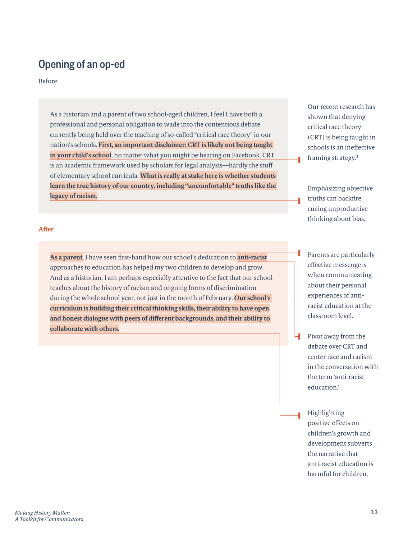## Opening of an op-ed

Before

As a historian and a parent of two school-aged children, I feel I have both a professional and personal obligation to wade into the contentious debate currently being held over the teaching of so-called "critical race theory" in our nation's schools. **First, an important disclaimer: CRT is likely not being taught in your child's school**, no matter what you might be hearing on Facebook. CRT is an academic framework used by scholars for legal analysis—hardly the stuff of elementary school curricula. **What is really at stake here is whether students learn the true history of our country, including "uncomfortable" truths like the legacy of racism.**

Our recent research has shown that denying critical race theory (CRT) is being taught in schools is an ineffective framing strategy.3

Emphasizing objective truths can backfire, cueing unproductive thinking about bias.

**After**

**As a parent**, I have seen first-hand how our school's dedication to **anti-racist** approaches to education has helped my two children to develop and grow. And as a historian, I am perhaps especially attentive to the fact that our school teaches about the history of racism and ongoing forms of discrimination during the whole school year, not just in the month of February. **Our school's curriculum is building their critical thinking skills, their ability to have open and honest dialogue with peers of different backgrounds, and their ability to collaborate with others.**

- Parents are particularly effective messengers when communicating about their personal experiences of antiracist education at the classroom level.
- பு Pivot away from the debate over CRT and center race and racism in the conversation with the term 'anti-racist education.'
	- Highlighting positive effects on children's growth and development subverts the narrative that anti-racist education is harmful for children.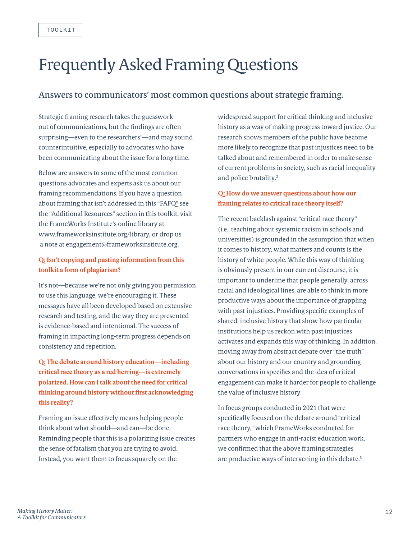## Frequently Asked Framing Questions

## Answers to communicators' most common questions about strategic framing.

Strategic framing research takes the guesswork out of communications, but the findings are often surprising—even to the researchers!—and may sound counterintuitive, especially to advocates who have been communicating about the issue for a long time.

Below are answers to some of the most common questions advocates and experts ask us about our framing recommendations. If you have a question about framing that isn't addressed in this "FAFQ" see the "Additional Resources" section in this toolkit, visit the FrameWorks Institute's online library at www.frameworksinstitute.org/library, or drop us a note at engagement@frameworksinstitute.org.

## **Q: Isn't copying and pasting information from this toolkit a form of plagiarism?**

It's not—because we're not only giving you permission to use this language, we're encouraging it. These messages have all been developed based on extensive research and testing, and the way they are presented is evidence-based and intentional. The success of framing in impacting long-term progress depends on consistency and repetition.

## **Q: The debate around history education—including critical race theory as a red herring—is extremely polarized. How can I talk about the need for critical thinking around history without first acknowledging this reality?**

Framing an issue effectively means helping people think about what should—and can—be done. Reminding people that this is a polarizing issue creates the sense of fatalism that you are trying to avoid. Instead, you want them to focus squarely on the

widespread support for critical thinking and inclusive history as a way of making progress toward justice. Our research shows members of the public have become more likely to recognize that past injustices need to be talked about and remembered in order to make sense of current problems in society, such as racial inequality and police brutality.2

## **Q: How do we answer questions about how our framing relates to critical race theory itself?**

The recent backlash against "critical race theory" (i.e., teaching about systemic racism in schools and universities) is grounded in the assumption that when it comes to history, what matters and counts is the history of white people. While this way of thinking is obviously present in our current discourse, it is important to underline that people generally, across racial and ideological lines, are able to think in more productive ways about the importance of grappling with past injustices. Providing specific examples of shared, inclusive history that show how particular institutions help us reckon with past injustices activates and expands this way of thinking. In addition, moving away from abstract debate over "the truth" about our history and our country and grounding conversations in specifics and the idea of critical engagement can make it harder for people to challenge the value of inclusive history.

In focus groups conducted in 2021 that were specifically focused on the debate around "critical race theory," which FrameWorks conducted for partners who engage in anti-racist education work, we confirmed that the above framing strategies are productive ways of intervening in this debate.3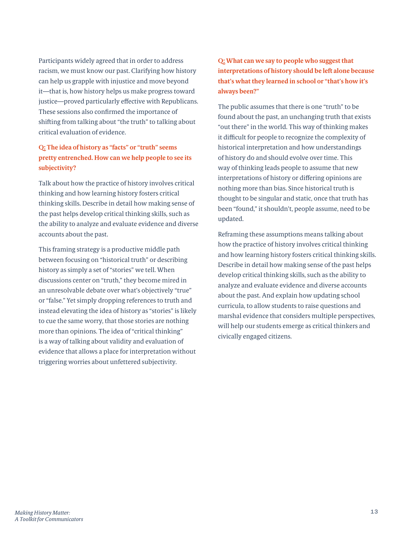Participants widely agreed that in order to address racism, we must know our past. Clarifying how history can help us grapple with injustice and move beyond it—that is, how history helps us make progress toward justice—proved particularly effective with Republicans. These sessions also confirmed the importance of shifting from talking about "the truth" to talking about critical evaluation of evidence.

## **Q: The idea of history as "facts" or "truth" seems pretty entrenched. How can we help people to see its subjectivity?**

Talk about how the practice of history involves critical thinking and how learning history fosters critical thinking skills. Describe in detail how making sense of the past helps develop critical thinking skills, such as the ability to analyze and evaluate evidence and diverse accounts about the past.

This framing strategy is a productive middle path between focusing on "historical truth" or describing history as simply a set of "stories" we tell. When discussions center on "truth," they become mired in an unresolvable debate over what's objectively "true" or "false." Yet simply dropping references to truth and instead elevating the idea of history as "stories" is likely to cue the same worry, that those stories are nothing more than opinions. The idea of "critical thinking" is a way of talking about validity and evaluation of evidence that allows a place for interpretation without triggering worries about unfettered subjectivity.

## **Q: What can we say to people who suggest that interpretations of history should be left alone because that's what they learned in school or "that's how it's always been?"**

The public assumes that there is one "truth" to be found about the past, an unchanging truth that exists "out there" in the world. This way of thinking makes it difficult for people to recognize the complexity of historical interpretation and how understandings of history do and should evolve over time. This way of thinking leads people to assume that new interpretations of history or differing opinions are nothing more than bias. Since historical truth is thought to be singular and static, once that truth has been "found," it shouldn't, people assume, need to be updated.

Reframing these assumptions means talking about how the practice of history involves critical thinking and how learning history fosters critical thinking skills. Describe in detail how making sense of the past helps develop critical thinking skills, such as the ability to analyze and evaluate evidence and diverse accounts about the past. And explain how updating school curricula, to allow students to raise questions and marshal evidence that considers multiple perspectives, will help our students emerge as critical thinkers and civically engaged citizens.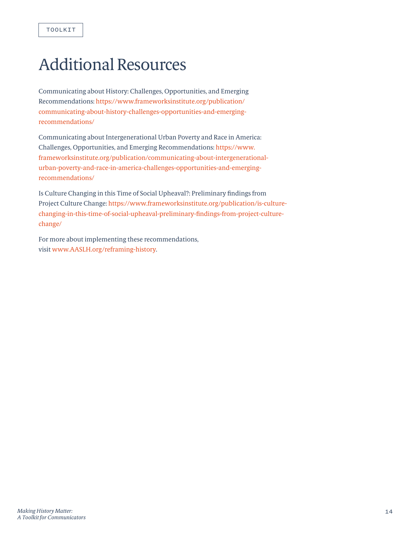## Additional Resources

Communicating about History: Challenges, Opportunities, and Emerging Recommendations: [https://www.frameworksinstitute.org/publication/](https://www.frameworksinstitute.org/publication/communicating-about-history-challenges-opportunities-and-emerging-recommendations/) [communicating-about-history-challenges-opportunities-and-emerging](https://www.frameworksinstitute.org/publication/communicating-about-history-challenges-opportunities-and-emerging-recommendations/)[recommendations/](https://www.frameworksinstitute.org/publication/communicating-about-history-challenges-opportunities-and-emerging-recommendations/)

Communicating about Intergenerational Urban Poverty and Race in America: Challenges, Opportunities, and Emerging Recommendations: [https://www.](https://www.frameworksinstitute.org/publication/communicating-about-intergenerational-urban-poverty-and-race-in-america-challenges-opportunities-and-emerging-recommendations/) [frameworksinstitute.org/publication/communicating-about-intergenerational](https://www.frameworksinstitute.org/publication/communicating-about-intergenerational-urban-poverty-and-race-in-america-challenges-opportunities-and-emerging-recommendations/)[urban-poverty-and-race-in-america-challenges-opportunities-and-emerging](https://www.frameworksinstitute.org/publication/communicating-about-intergenerational-urban-poverty-and-race-in-america-challenges-opportunities-and-emerging-recommendations/)[recommendations/](https://www.frameworksinstitute.org/publication/communicating-about-intergenerational-urban-poverty-and-race-in-america-challenges-opportunities-and-emerging-recommendations/)

Is Culture Changing in this Time of Social Upheaval?: Preliminary findings from Project Culture Change: [https://www.frameworksinstitute.org/publication/is-culture](https://www.frameworksinstitute.org/publication/is-culture-changing-in-this-time-of-social-upheaval-preliminary-findings-from-project-culture-change/)[changing-in-this-time-of-social-upheaval-preliminary-findings-from-project-culture](https://www.frameworksinstitute.org/publication/is-culture-changing-in-this-time-of-social-upheaval-preliminary-findings-from-project-culture-change/)[change/](https://www.frameworksinstitute.org/publication/is-culture-changing-in-this-time-of-social-upheaval-preliminary-findings-from-project-culture-change/)

For more about implementing these recommendations, visit [www.AASLH.org/reframing-history](http://www.AASLH.org/reframing-history).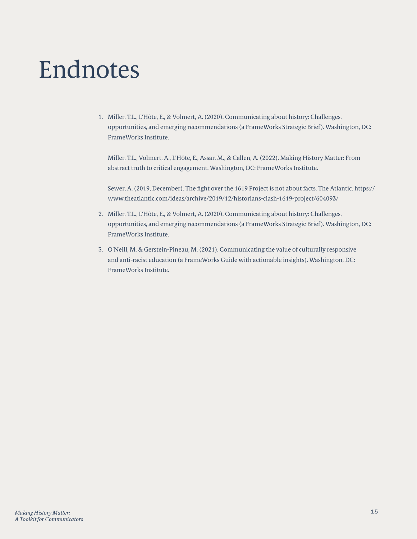# Endnotes

1. Miller, T.L., L'Hôte, E., & Volmert, A. (2020). Communicating about history: Challenges, opportunities, and emerging recommendations (a FrameWorks Strategic Brief). Washington, DC: FrameWorks Institute.

Miller, T.L., Volmert, A., L'Hôte, E., Assar, M., & Callen, A. (2022). Making History Matter: From abstract truth to critical engagement. Washington, DC: FrameWorks Institute.

Sewer, A. (2019, December). The fight over the 1619 Project is not about facts. The Atlantic. https:// www.theatlantic.com/ideas/archive/2019/12/historians-clash-1619-project/604093/

- 2. Miller, T.L., L'Hôte, E., & Volmert, A. (2020). Communicating about history: Challenges, opportunities, and emerging recommendations (a FrameWorks Strategic Brief). Washington, DC: FrameWorks Institute.
- 3. O'Neill, M. & Gerstein-Pineau, M. (2021). Communicating the value of culturally responsive and anti-racist education (a FrameWorks Guide with actionable insights). Washington, DC: FrameWorks Institute.